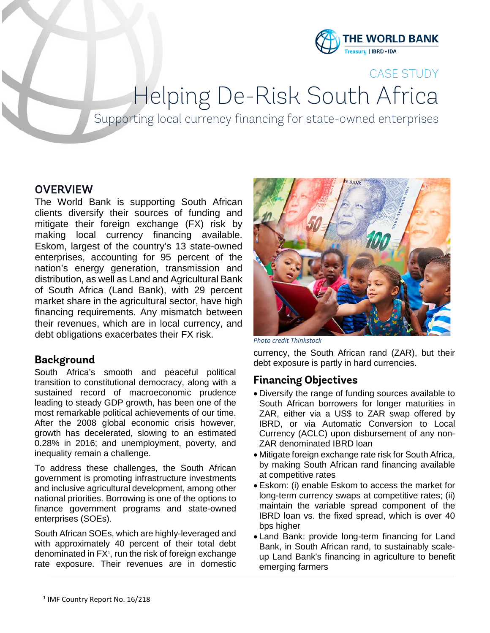

## CASE STUDY

Helping De-Risk South Africa<br>Supporting local currency financing for state-owned enterprises

## **OVERVIEW**

The World Bank is supporting South African clients diversify their sources of funding and mitigate their foreign exchange (FX) risk by making local currency financing available. Eskom, largest of the country's 13 state-owned enterprises, accounting for 95 percent of the nation's energy generation, transmission and distribution, as well as Land and Agricultural Bank of South Africa (Land Bank), with 29 percent market share in the agricultural sector, have high financing requirements. Any mismatch between their revenues, which are in local currency, and debt obligations exacerbates their FX risk.

#### **Background**

South Africa's smooth and peaceful political transition to constitutional democracy, along with a sustained record of macroeconomic prudence leading to steady GDP growth, has been one of the most remarkable political achievements of our time. After the 2008 global economic crisis however, growth has decelerated, slowing to an estimated 0.28% in 2016; and unemployment, poverty, and inequality remain a challenge.

To address these challenges, the South African government is promoting infrastructure investments and inclusive agricultural development, among other national priorities. Borrowing is one of the options to finance government programs and state-owned enterprises (SOEs).

South African SOEs, which are highly-leveraged and with approximately 40 percent of their total debt denominated in FX<sup>1</sup>, run the risk of foreign exchange rate exposure. Their revenues are in domestic



*Photo credit Thinkstock*

currency, the South African rand (ZAR), but their debt exposure is partly in hard currencies.

## **Financing Objectives**

- Diversify the range of funding sources available to South African borrowers for longer maturities in ZAR, either via a US\$ to ZAR swap offered by IBRD, or via Automatic Conversion to Local Currency (ACLC) upon disbursement of any non-ZAR denominated IBRD loan
- Mitigate foreign exchange rate risk for South Africa, by making South African rand financing available at competitive rates
- Eskom: (i) enable Eskom to access the market for long-term currency swaps at competitive rates; (ii) maintain the variable spread component of the IBRD loan vs. the fixed spread, which is over 40 bps higher
- Land Bank: provide long-term financing for Land Bank, in South African rand, to sustainably scaleup Land Bank's financing in agriculture to benefit emerging farmers